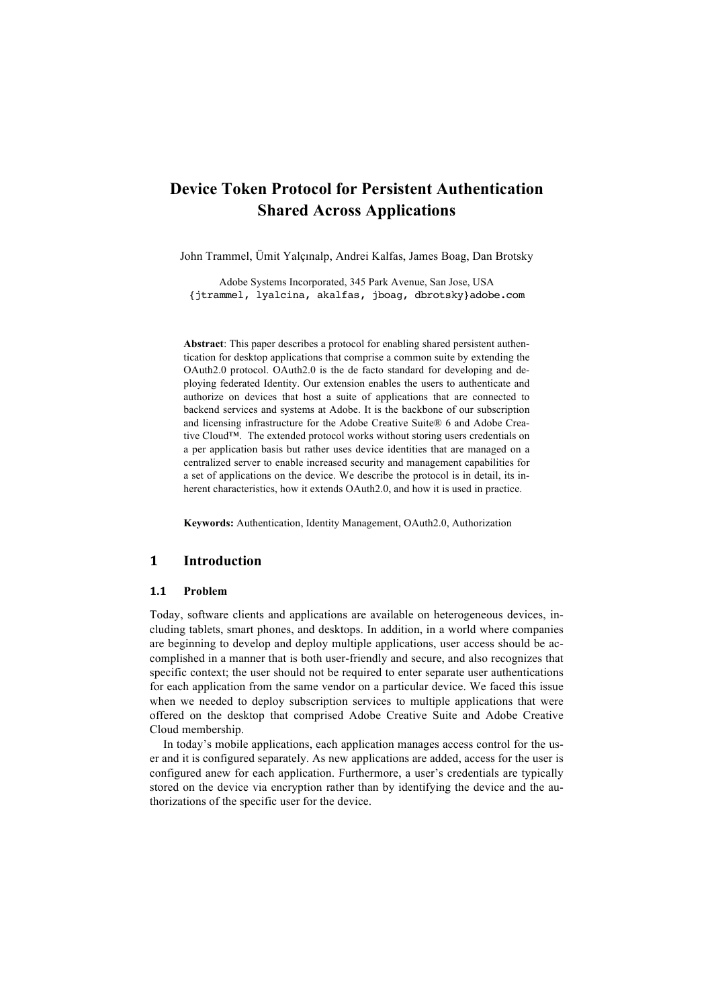# **Device Token Protocol for Persistent Authentication Shared Across Applications**

John Trammel, Ümit Yalçınalp, Andrei Kalfas, James Boag, Dan Brotsky

Adobe Systems Incorporated, 345 Park Avenue, San Jose, USA {jtrammel, lyalcina, akalfas, jboag, dbrotsky}adobe.com

**Abstract**: This paper describes a protocol for enabling shared persistent authentication for desktop applications that comprise a common suite by extending the OAuth2.0 protocol. OAuth2.0 is the de facto standard for developing and deploying federated Identity. Our extension enables the users to authenticate and authorize on devices that host a suite of applications that are connected to backend services and systems at Adobe. It is the backbone of our subscription and licensing infrastructure for the Adobe Creative Suite® 6 and Adobe Creative Cloud™. The extended protocol works without storing users credentials on a per application basis but rather uses device identities that are managed on a centralized server to enable increased security and management capabilities for a set of applications on the device. We describe the protocol is in detail, its inherent characteristics, how it extends OAuth2.0, and how it is used in practice.

**Keywords:** Authentication, Identity Management, OAuth2.0, Authorization

# **1 Introduction**

## **1.1 Problem**

Today, software clients and applications are available on heterogeneous devices, including tablets, smart phones, and desktops. In addition, in a world where companies are beginning to develop and deploy multiple applications, user access should be accomplished in a manner that is both user-friendly and secure, and also recognizes that specific context; the user should not be required to enter separate user authentications for each application from the same vendor on a particular device. We faced this issue when we needed to deploy subscription services to multiple applications that were offered on the desktop that comprised Adobe Creative Suite and Adobe Creative Cloud membership.

In today's mobile applications, each application manages access control for the user and it is configured separately. As new applications are added, access for the user is configured anew for each application. Furthermore, a user's credentials are typically stored on the device via encryption rather than by identifying the device and the authorizations of the specific user for the device.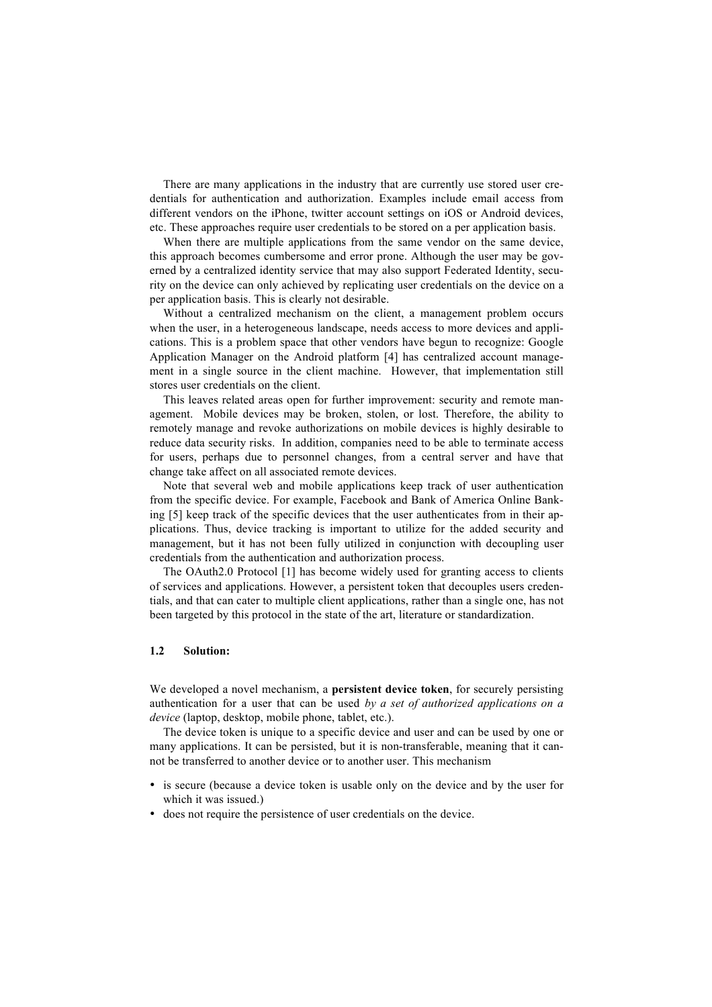There are many applications in the industry that are currently use stored user credentials for authentication and authorization. Examples include email access from different vendors on the iPhone, twitter account settings on iOS or Android devices, etc. These approaches require user credentials to be stored on a per application basis.

When there are multiple applications from the same vendor on the same device, this approach becomes cumbersome and error prone. Although the user may be governed by a centralized identity service that may also support Federated Identity, security on the device can only achieved by replicating user credentials on the device on a per application basis. This is clearly not desirable.

Without a centralized mechanism on the client, a management problem occurs when the user, in a heterogeneous landscape, needs access to more devices and applications. This is a problem space that other vendors have begun to recognize: Google Application Manager on the Android platform [4] has centralized account management in a single source in the client machine. However, that implementation still stores user credentials on the client.

This leaves related areas open for further improvement: security and remote management. Mobile devices may be broken, stolen, or lost. Therefore, the ability to remotely manage and revoke authorizations on mobile devices is highly desirable to reduce data security risks. In addition, companies need to be able to terminate access for users, perhaps due to personnel changes, from a central server and have that change take affect on all associated remote devices.

Note that several web and mobile applications keep track of user authentication from the specific device. For example, Facebook and Bank of America Online Banking [5] keep track of the specific devices that the user authenticates from in their applications. Thus, device tracking is important to utilize for the added security and management, but it has not been fully utilized in conjunction with decoupling user credentials from the authentication and authorization process.

The OAuth2.0 Protocol [1] has become widely used for granting access to clients of services and applications. However, a persistent token that decouples users credentials, and that can cater to multiple client applications, rather than a single one, has not been targeted by this protocol in the state of the art, literature or standardization.

#### **1.2 Solution:**

We developed a novel mechanism, a **persistent device token**, for securely persisting authentication for a user that can be used *by a set of authorized applications on a device* (laptop, desktop, mobile phone, tablet, etc.).

The device token is unique to a specific device and user and can be used by one or many applications. It can be persisted, but it is non-transferable, meaning that it cannot be transferred to another device or to another user. This mechanism

- is secure (because a device token is usable only on the device and by the user for which it was issued.)
- does not require the persistence of user credentials on the device.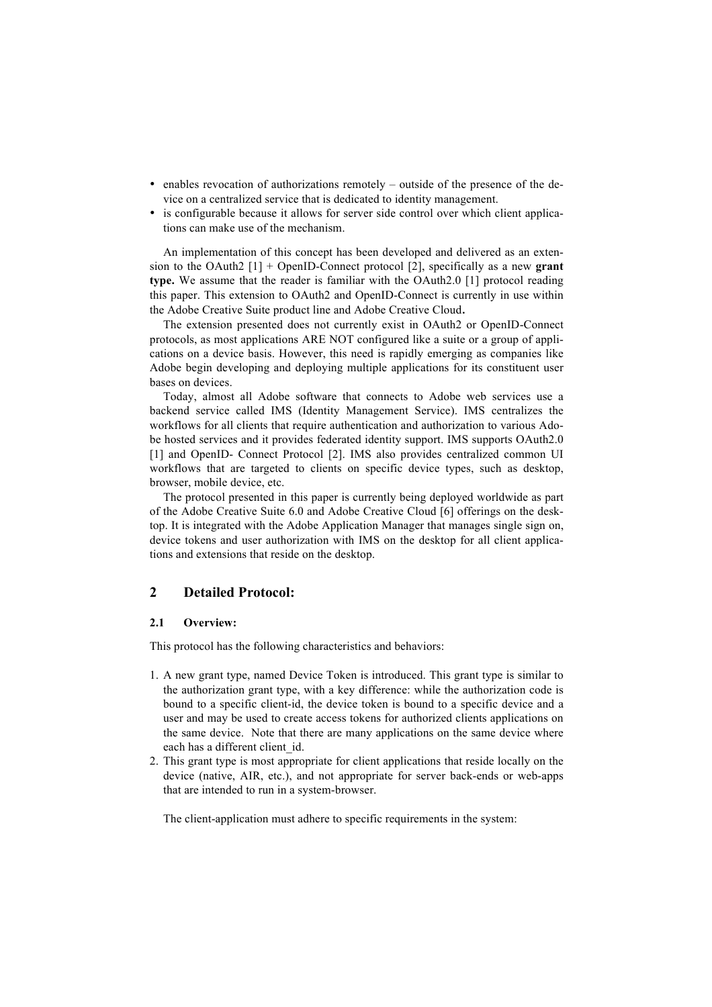- enables revocation of authorizations remotely outside of the presence of the device on a centralized service that is dedicated to identity management.
- is configurable because it allows for server side control over which client applications can make use of the mechanism.

An implementation of this concept has been developed and delivered as an extension to the OAuth2 [1] + OpenID-Connect protocol [2], specifically as a new **grant type.** We assume that the reader is familiar with the OAuth2.0 [1] protocol reading this paper. This extension to OAuth2 and OpenID-Connect is currently in use within the Adobe Creative Suite product line and Adobe Creative Cloud.

The extension presented does not currently exist in OAuth2 or OpenID-Connect protocols, as most applications ARE NOT configured like a suite or a group of applications on a device basis. However, this need is rapidly emerging as companies like Adobe begin developing and deploying multiple applications for its constituent user bases on devices.

Today, almost all Adobe software that connects to Adobe web services use a backend service called IMS (Identity Management Service). IMS centralizes the workflows for all clients that require authentication and authorization to various Adobe hosted services and it provides federated identity support. IMS supports OAuth2.0 [1] and OpenID- Connect Protocol [2]. IMS also provides centralized common UI workflows that are targeted to clients on specific device types, such as desktop, browser, mobile device, etc.

The protocol presented in this paper is currently being deployed worldwide as part of the Adobe Creative Suite 6.0 and Adobe Creative Cloud [6] offerings on the desktop. It is integrated with the Adobe Application Manager that manages single sign on, device tokens and user authorization with IMS on the desktop for all client applications and extensions that reside on the desktop.

## **2 Detailed Protocol:**

#### **2.1 Overview:**

This protocol has the following characteristics and behaviors:

- 1. A new grant type, named Device Token is introduced. This grant type is similar to the authorization grant type, with a key difference: while the authorization code is bound to a specific client-id, the device token is bound to a specific device and a user and may be used to create access tokens for authorized clients applications on the same device. Note that there are many applications on the same device where each has a different client\_id.
- 2. This grant type is most appropriate for client applications that reside locally on the device (native, AIR, etc.), and not appropriate for server back-ends or web-apps that are intended to run in a system-browser.

The client-application must adhere to specific requirements in the system: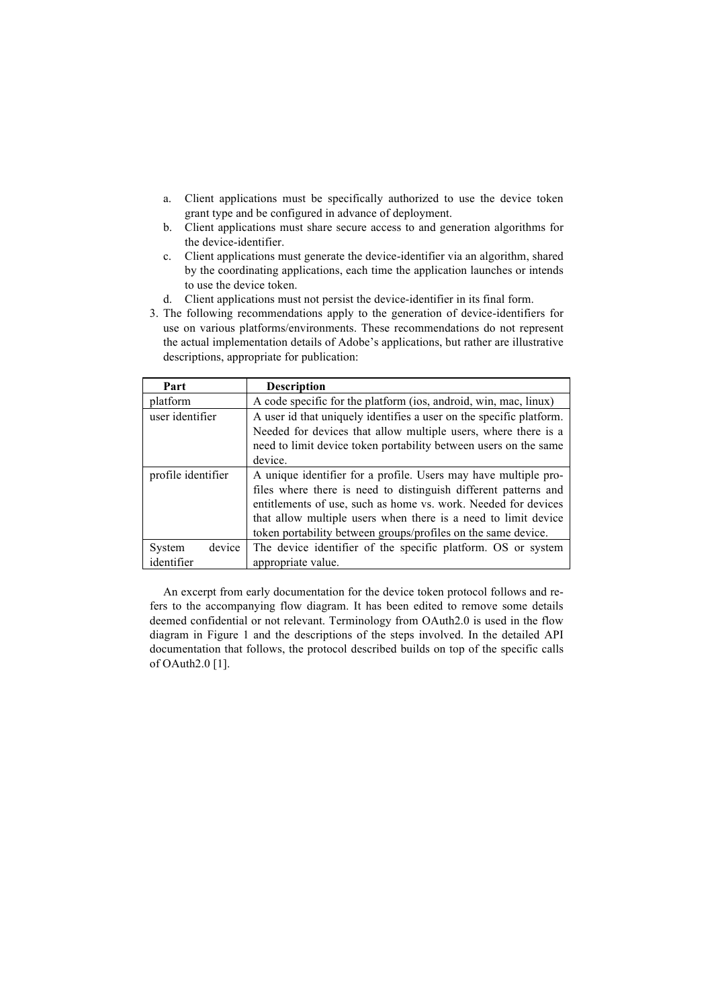- a. Client applications must be specifically authorized to use the device token grant type and be configured in advance of deployment.
- b. Client applications must share secure access to and generation algorithms for the device-identifier.
- c. Client applications must generate the device-identifier via an algorithm, shared by the coordinating applications, each time the application launches or intends to use the device token.
- d. Client applications must not persist the device-identifier in its final form.
- 3. The following recommendations apply to the generation of device-identifiers for use on various platforms/environments. These recommendations do not represent the actual implementation details of Adobe's applications, but rather are illustrative descriptions, appropriate for publication:

| Part                           | <b>Description</b>                                                                                                                                                                                                                                                                                                                      |  |  |  |  |
|--------------------------------|-----------------------------------------------------------------------------------------------------------------------------------------------------------------------------------------------------------------------------------------------------------------------------------------------------------------------------------------|--|--|--|--|
| platform                       | A code specific for the platform (ios, android, win, mac, linux)                                                                                                                                                                                                                                                                        |  |  |  |  |
| user identifier                | A user id that uniquely identifies a user on the specific platform.<br>Needed for devices that allow multiple users, where there is a<br>need to limit device token portability between users on the same<br>device.                                                                                                                    |  |  |  |  |
| profile identifier             | A unique identifier for a profile. Users may have multiple pro-<br>files where there is need to distinguish different patterns and<br>entitlements of use, such as home vs. work. Needed for devices<br>that allow multiple users when there is a need to limit device<br>token portability between groups/profiles on the same device. |  |  |  |  |
| device<br>System<br>identifier | The device identifier of the specific platform. OS or system<br>appropriate value.                                                                                                                                                                                                                                                      |  |  |  |  |

An excerpt from early documentation for the device token protocol follows and refers to the accompanying flow diagram. It has been edited to remove some details deemed confidential or not relevant. Terminology from OAuth2.0 is used in the flow diagram in Figure 1 and the descriptions of the steps involved. In the detailed API documentation that follows, the protocol described builds on top of the specific calls of OAuth2.0 [1].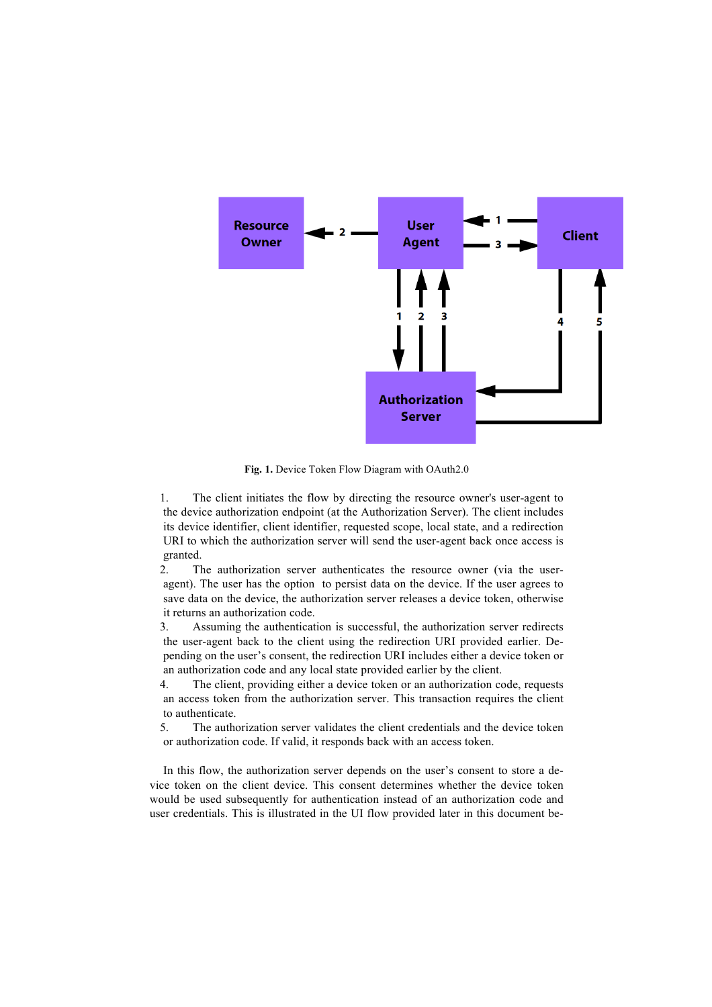

**Fig. 1.** Device Token Flow Diagram with OAuth2.0

1. The client initiates the flow by directing the resource owner's user-agent to the device authorization endpoint (at the Authorization Server). The client includes its device identifier, client identifier, requested scope, local state, and a redirection URI to which the authorization server will send the user-agent back once access is granted.

2. The authorization server authenticates the resource owner (via the useragent). The user has the option to persist data on the device. If the user agrees to save data on the device, the authorization server releases a device token, otherwise it returns an authorization code.

3. Assuming the authentication is successful, the authorization server redirects the user-agent back to the client using the redirection URI provided earlier. Depending on the user's consent, the redirection URI includes either a device token or an authorization code and any local state provided earlier by the client.

4. The client, providing either a device token or an authorization code, requests an access token from the authorization server. This transaction requires the client to authenticate.

5. The authorization server validates the client credentials and the device token or authorization code. If valid, it responds back with an access token.

In this flow, the authorization server depends on the user's consent to store a device token on the client device. This consent determines whether the device token would be used subsequently for authentication instead of an authorization code and user credentials. This is illustrated in the UI flow provided later in this document be-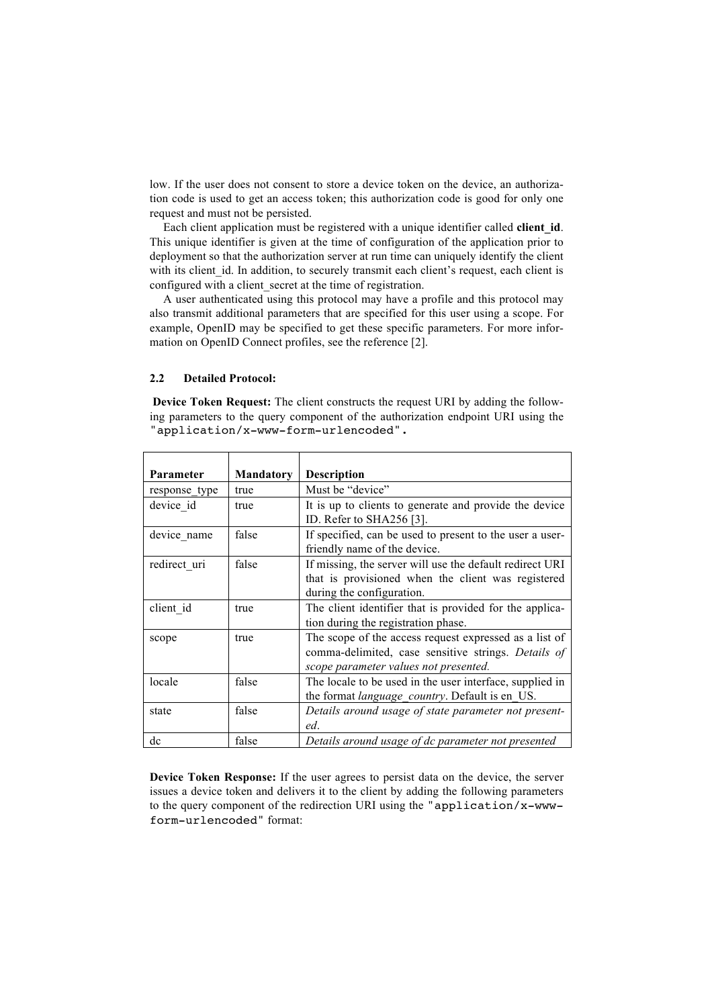low. If the user does not consent to store a device token on the device, an authorization code is used to get an access token; this authorization code is good for only one request and must not be persisted.

Each client application must be registered with a unique identifier called **client\_id**. This unique identifier is given at the time of configuration of the application prior to deployment so that the authorization server at run time can uniquely identify the client with its client id. In addition, to securely transmit each client's request, each client is configured with a client\_secret at the time of registration.

A user authenticated using this protocol may have a profile and this protocol may also transmit additional parameters that are specified for this user using a scope. For example, OpenID may be specified to get these specific parameters. For more information on OpenID Connect profiles, see the reference [2].

#### **2.2 Detailed Protocol:**

**Device Token Request:** The client constructs the request URI by adding the following parameters to the query component of the authorization endpoint URI using the "application/x-www-form-urlencoded".

| Parameter     | <b>Mandatory</b> | <b>Description</b>                                                                                                                                     |  |  |
|---------------|------------------|--------------------------------------------------------------------------------------------------------------------------------------------------------|--|--|
| response type | true             | Must be "device"                                                                                                                                       |  |  |
| device id     | true             | It is up to clients to generate and provide the device<br>ID. Refer to SHA256 [3].                                                                     |  |  |
| device name   | false            | If specified, can be used to present to the user a user-<br>friendly name of the device.                                                               |  |  |
| redirect uri  | false            | If missing, the server will use the default redirect URI<br>that is provisioned when the client was registered<br>during the configuration.            |  |  |
| client id     | true             | The client identifier that is provided for the applica-<br>tion during the registration phase.                                                         |  |  |
| scope         | true             | The scope of the access request expressed as a list of<br>comma-delimited, case sensitive strings. Details of<br>scope parameter values not presented. |  |  |
| locale        | false            | The locale to be used in the user interface, supplied in<br>the format language_country. Default is en US.                                             |  |  |
| state         | false            | Details around usage of state parameter not present-<br>ed.                                                                                            |  |  |
| dc            | false            | Details around usage of dc parameter not presented                                                                                                     |  |  |

**Device Token Response:** If the user agrees to persist data on the device, the server issues a device token and delivers it to the client by adding the following parameters to the query component of the redirection URI using the "application/x-wwwform-urlencoded" format: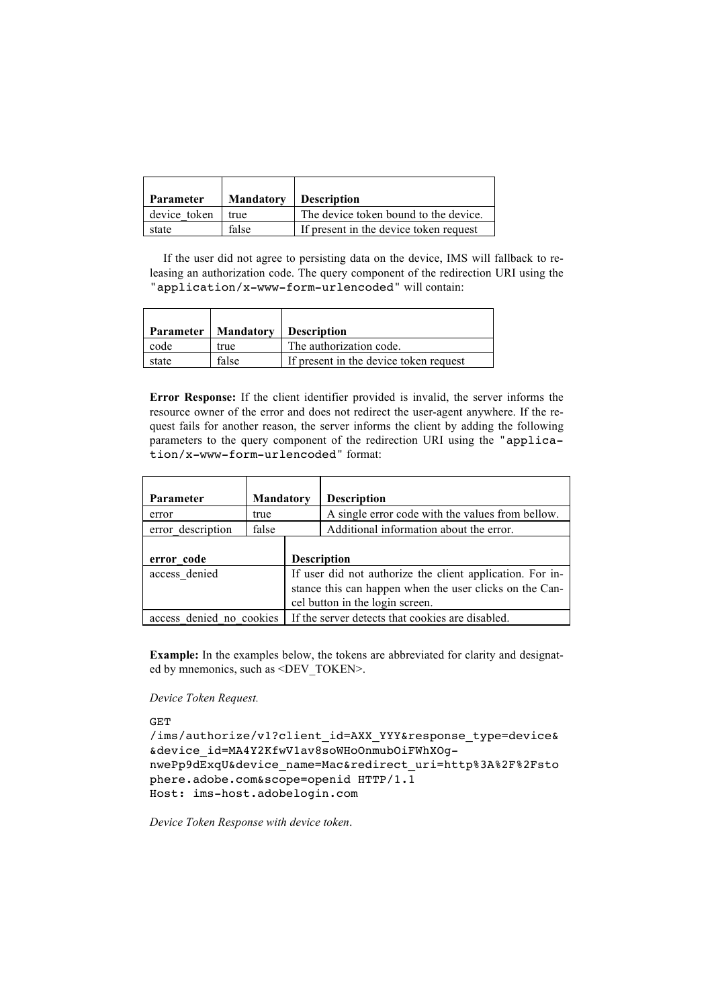| Parameter    | Mandatory | <b>Description</b>                     |
|--------------|-----------|----------------------------------------|
| device token | true      | The device token bound to the device.  |
| state        | false     | If present in the device token request |

If the user did not agree to persisting data on the device, IMS will fallback to releasing an authorization code. The query component of the redirection URI using the "application/x-www-form-urlencoded" will contain:

|       | <b>Parameter   Mandatory   Description</b> |                                        |
|-------|--------------------------------------------|----------------------------------------|
| code  | true                                       | The authorization code.                |
| state | false                                      | If present in the device token request |

**Error Response:** If the client identifier provided is invalid, the server informs the resource owner of the error and does not redirect the user-agent anywhere. If the request fails for another reason, the server informs the client by adding the following parameters to the query component of the redirection URI using the "application/x-www-form-urlencoded" format:

| <b>Parameter</b>         | <b>Mandatory</b> |  | <b>Description</b>                                        |
|--------------------------|------------------|--|-----------------------------------------------------------|
| error                    | true             |  | A single error code with the values from bellow.          |
| error description        | false            |  | Additional information about the error.                   |
| error code               |                  |  | <b>Description</b>                                        |
|                          |                  |  |                                                           |
| access denied            |                  |  | If user did not authorize the client application. For in- |
|                          |                  |  | stance this can happen when the user clicks on the Can-   |
|                          |                  |  | cel button in the login screen.                           |
| access denied no cookies |                  |  | If the server detects that cookies are disabled.          |

**Example:** In the examples below, the tokens are abbreviated for clarity and designated by mnemonics, such as <DEV\_TOKEN>.

## *Device Token Request.*

```
GET
```

```
/ims/authorize/v1?client_id=AXX_YYY&response_type=device&
&device_id=MA4Y2KfwV1av8soWHoOnmubOiFWhXOg-
nwePp9dExqU&device_name=Mac&redirect_uri=http%3A%2F%2Fsto
phere.adobe.com&scope=openid HTTP/1.1
Host: ims-host.adobelogin.com
```
*Device Token Response with device token*.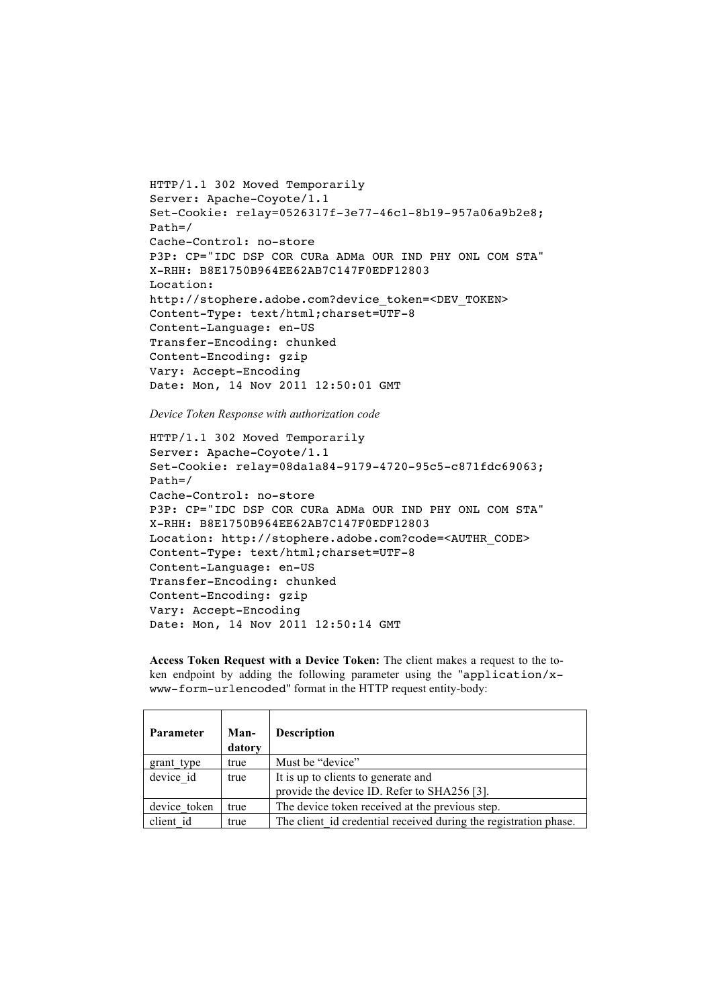```
HTTP/1.1 302 Moved Temporarily
Server: Apache-Coyote/1.1
Set-Cookie: relay=0526317f-3e77-46c1-8b19-957a06a9b2e8; 
Path=/
Cache-Control: no-store
P3P: CP="IDC DSP COR CURa ADMa OUR IND PHY ONL COM STA"
X-RHH: B8E1750B964EE62AB7C147F0EDF12803
Location: 
http://stophere.adobe.com?device_token=<DEV_TOKEN>
Content-Type: text/html;charset=UTF-8
Content-Language: en-US
Transfer-Encoding: chunked
Content-Encoding: gzip
Vary: Accept-Encoding
Date: Mon, 14 Nov 2011 12:50:01 GMT
```
*Device Token Response with authorization code*

```
HTTP/1.1 302 Moved Temporarily
Server: Apache-Coyote/1.1
Set-Cookie: relay=08da1a84-9179-4720-95c5-c871fdc69063; 
Path=/
Cache-Control: no-store
P3P: CP="IDC DSP COR CURa ADMa OUR IND PHY ONL COM STA"
X-RHH: B8E1750B964EE62AB7C147F0EDF12803
Location: http://stophere.adobe.com?code=<AUTHR_CODE>
Content-Type: text/html;charset=UTF-8
Content-Language: en-US
Transfer-Encoding: chunked
Content-Encoding: gzip
Vary: Accept-Encoding
Date: Mon, 14 Nov 2011 12:50:14 GMT
```
**Access Token Request with a Device Token:** The client makes a request to the token endpoint by adding the following parameter using the "application/xwww-form-urlencoded" format in the HTTP request entity-body:

| Parameter    | Man-<br>datory | <b>Description</b>                                               |
|--------------|----------------|------------------------------------------------------------------|
| grant type   | true           | Must be "device"                                                 |
| device id    | true           | It is up to clients to generate and                              |
|              |                | provide the device ID. Refer to SHA256 [3].                      |
| device token | true           | The device token received at the previous step.                  |
| client id    | true           | The client id credential received during the registration phase. |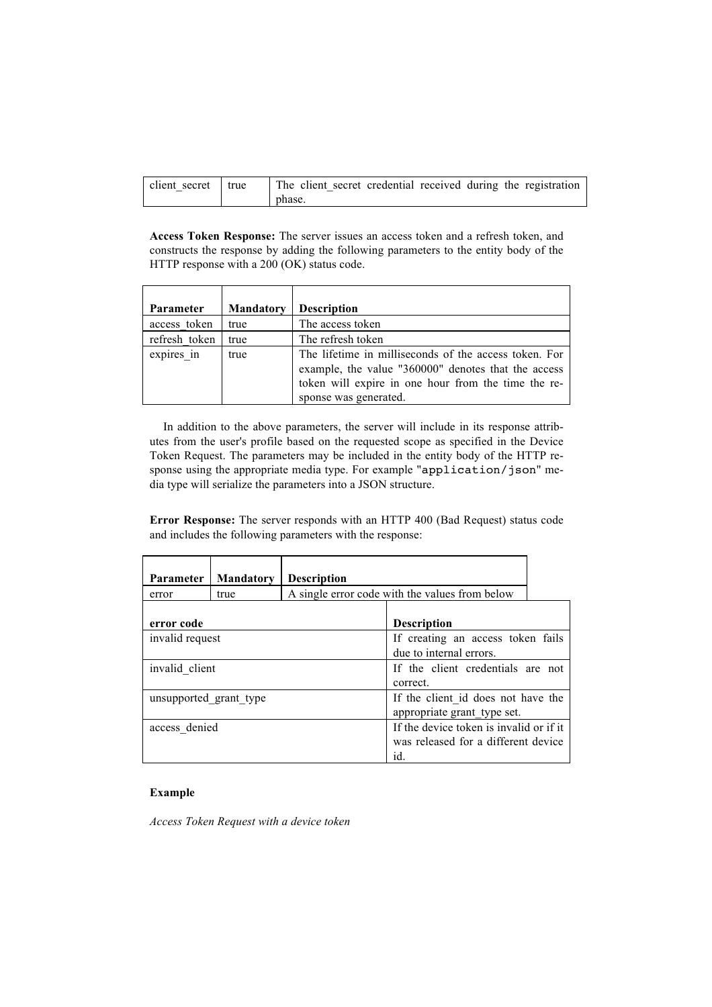| client secret true |        |  |  | The client secret credential received during the registration |
|--------------------|--------|--|--|---------------------------------------------------------------|
|                    | phase. |  |  |                                                               |

**Access Token Response:** The server issues an access token and a refresh token, and constructs the response by adding the following parameters to the entity body of the HTTP response with a 200 (OK) status code.

| Parameter     | <b>Mandatory</b> | <b>Description</b>                                                                                                                                                  |
|---------------|------------------|---------------------------------------------------------------------------------------------------------------------------------------------------------------------|
| access token  | true             | The access token                                                                                                                                                    |
| refresh token | true             | The refresh token                                                                                                                                                   |
| expires in    | true             | The lifetime in milliseconds of the access token. For<br>example, the value "360000" denotes that the access<br>token will expire in one hour from the time the re- |
|               |                  | sponse was generated.                                                                                                                                               |

In addition to the above parameters, the server will include in its response attributes from the user's profile based on the requested scope as specified in the Device Token Request. The parameters may be included in the entity body of the HTTP response using the appropriate media type. For example "application/json" media type will serialize the parameters into a JSON structure.

**Error Response:** The server responds with an HTTP 400 (Bad Request) status code and includes the following parameters with the response:

| <b>Parameter</b><br>error | <b>Mandatory</b><br>true | <b>Description</b><br>A single error code with the values from below |                                                                                       |  |  |
|---------------------------|--------------------------|----------------------------------------------------------------------|---------------------------------------------------------------------------------------|--|--|
| error code                |                          |                                                                      | <b>Description</b>                                                                    |  |  |
| invalid request           |                          |                                                                      | If creating an access token fails<br>due to internal errors.                          |  |  |
| invalid client            |                          |                                                                      | If the client credentials are not<br>correct.                                         |  |  |
| unsupported grant type    |                          |                                                                      | If the client id does not have the<br>appropriate grant type set.                     |  |  |
| access denied             |                          |                                                                      | If the device token is invalid or if it<br>was released for a different device<br>id. |  |  |

# **Example**

*Access Token Request with a device token*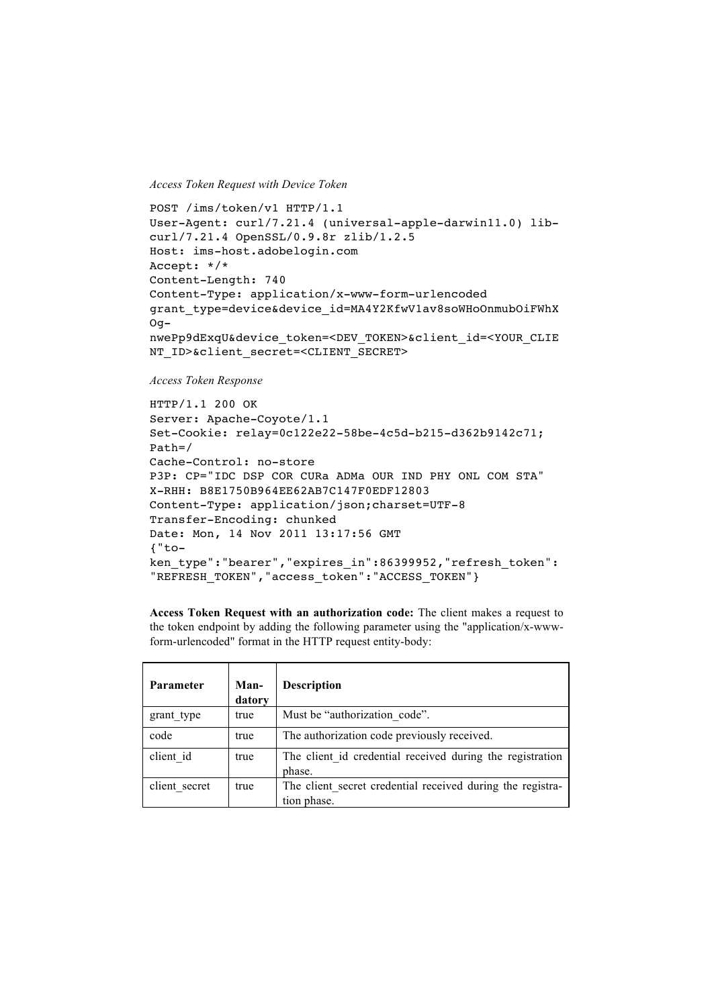*Access Token Request with Device Token*

```
POST /ims/token/v1 HTTP/1.1
User-Agent: curl/7.21.4 (universal-apple-darwin11.0) lib-
curl/7.21.4 OpenSSL/0.9.8r zlib/1.2.5
Host: ims-host.adobelogin.com
Accept: */*
Content-Length: 740
Content-Type: application/x-www-form-urlencoded
grant_type=device&device_id=MA4Y2KfwV1av8soWHoOnmubOiFWhX
Oq-nwePp9dExqU&device_token=<DEV_TOKEN>&client_id=<YOUR_CLIE
NT_ID>&client_secret=<CLIENT_SECRET>
```
*Access Token Response*

```
HTTP/1.1 200 OK
Server: Apache-Coyote/1.1
Set-Cookie: relay=0c122e22-58be-4c5d-b215-d362b9142c71;
Path=/
Cache-Control: no-store
P3P: CP="IDC DSP COR CURa ADMa OUR IND PHY ONL COM STA"
X-RHH: B8E1750B964EE62AB7C147F0EDF12803
Content-Type: application/json;charset=UTF-8
Transfer-Encoding: chunked
Date: Mon, 14 Nov 2011 13:17:56 GMT
{"to-
ken type":"bearer","expires in":86399952,"refresh token":
"REFRESH_TOKEN","access_token":"ACCESS_TOKEN"}
```
**Access Token Request with an authorization code:** The client makes a request to the token endpoint by adding the following parameter using the "application/x-wwwform-urlencoded" format in the HTTP request entity-body:

| Parameter     | Man-<br>datory | <b>Description</b>                                                        |
|---------------|----------------|---------------------------------------------------------------------------|
| grant type    | true           | Must be "authorization code".                                             |
| code          | true           | The authorization code previously received.                               |
| client id     | true           | The client id credential received during the registration<br>phase.       |
| client secret | true           | The client secret credential received during the registra-<br>tion phase. |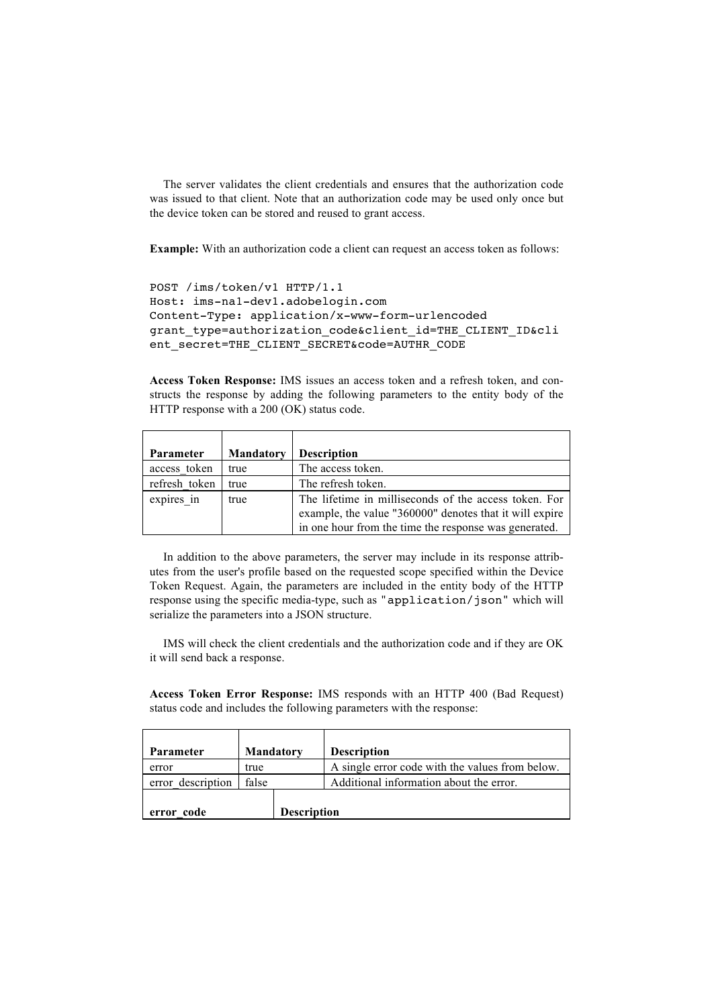The server validates the client credentials and ensures that the authorization code was issued to that client. Note that an authorization code may be used only once but the device token can be stored and reused to grant access.

**Example:** With an authorization code a client can request an access token as follows:

```
POST /ims/token/v1 HTTP/1.1
Host: ims-na1-dev1.adobelogin.com
Content-Type: application/x-www-form-urlencoded
grant type=authorization code&client id=THE CLIENT ID&cli
ent secret=THE CLIENT SECRET&code=AUTHR CODE
```
**Access Token Response:** IMS issues an access token and a refresh token, and constructs the response by adding the following parameters to the entity body of the HTTP response with a 200 (OK) status code.

| <b>Parameter</b> | <b>Mandatory</b> | <b>Description</b>                                      |
|------------------|------------------|---------------------------------------------------------|
| access token     | true             | The access token.                                       |
| refresh token    | true             | The refresh token.                                      |
| expires in       | true             | The lifetime in milliseconds of the access token. For   |
|                  |                  | example, the value "360000" denotes that it will expire |
|                  |                  | in one hour from the time the response was generated.   |

In addition to the above parameters, the server may include in its response attributes from the user's profile based on the requested scope specified within the Device Token Request. Again, the parameters are included in the entity body of the HTTP response using the specific media-type, such as "application/json" which will serialize the parameters into a JSON structure.

IMS will check the client credentials and the authorization code and if they are OK it will send back a response.

**Access Token Error Response:** IMS responds with an HTTP 400 (Bad Request) status code and includes the following parameters with the response:

| Parameter         | <b>Mandatory</b> |                    | <b>Description</b>                              |
|-------------------|------------------|--------------------|-------------------------------------------------|
| error             | true             |                    | A single error code with the values from below. |
| error description | false            |                    | Additional information about the error.         |
| error code        |                  | <b>Description</b> |                                                 |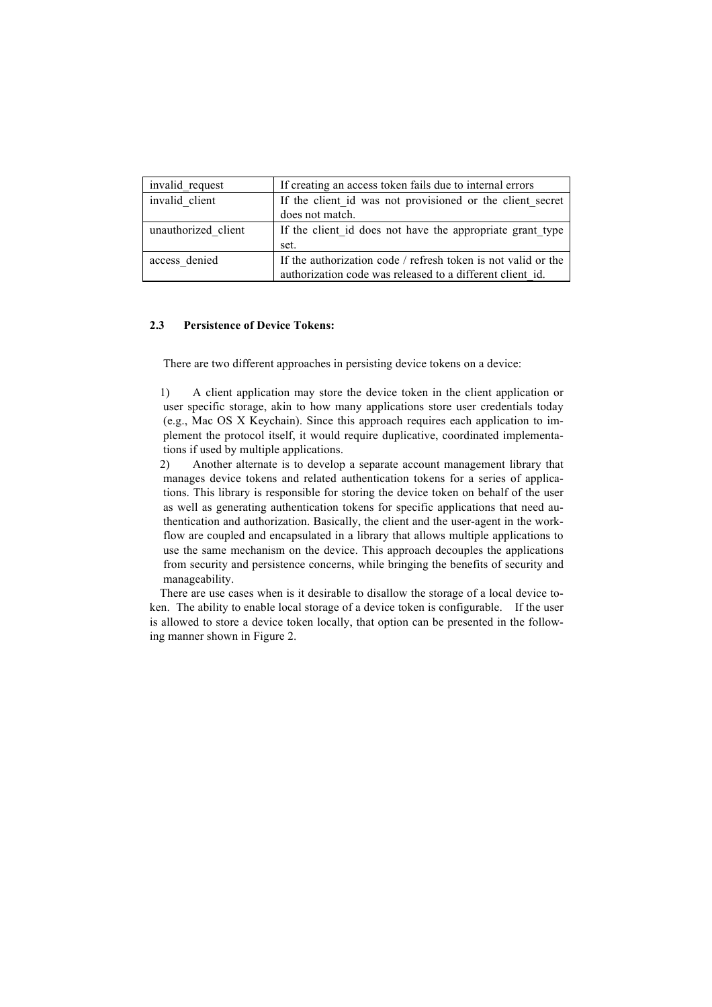| invalid request     | If creating an access token fails due to internal errors      |  |
|---------------------|---------------------------------------------------------------|--|
| invalid client      | If the client id was not provisioned or the client secret     |  |
|                     | does not match.                                               |  |
| unauthorized client | If the client id does not have the appropriate grant type     |  |
|                     | set.                                                          |  |
| access denied       | If the authorization code / refresh token is not valid or the |  |
|                     | authorization code was released to a different client id.     |  |

#### **2.3 Persistence of Device Tokens:**

There are two different approaches in persisting device tokens on a device:

1) A client application may store the device token in the client application or user specific storage, akin to how many applications store user credentials today (e.g., Mac OS X Keychain). Since this approach requires each application to implement the protocol itself, it would require duplicative, coordinated implementations if used by multiple applications.

2) Another alternate is to develop a separate account management library that manages device tokens and related authentication tokens for a series of applications. This library is responsible for storing the device token on behalf of the user as well as generating authentication tokens for specific applications that need authentication and authorization. Basically, the client and the user-agent in the workflow are coupled and encapsulated in a library that allows multiple applications to use the same mechanism on the device. This approach decouples the applications from security and persistence concerns, while bringing the benefits of security and manageability.

There are use cases when is it desirable to disallow the storage of a local device token. The ability to enable local storage of a device token is configurable. If the user is allowed to store a device token locally, that option can be presented in the following manner shown in Figure 2.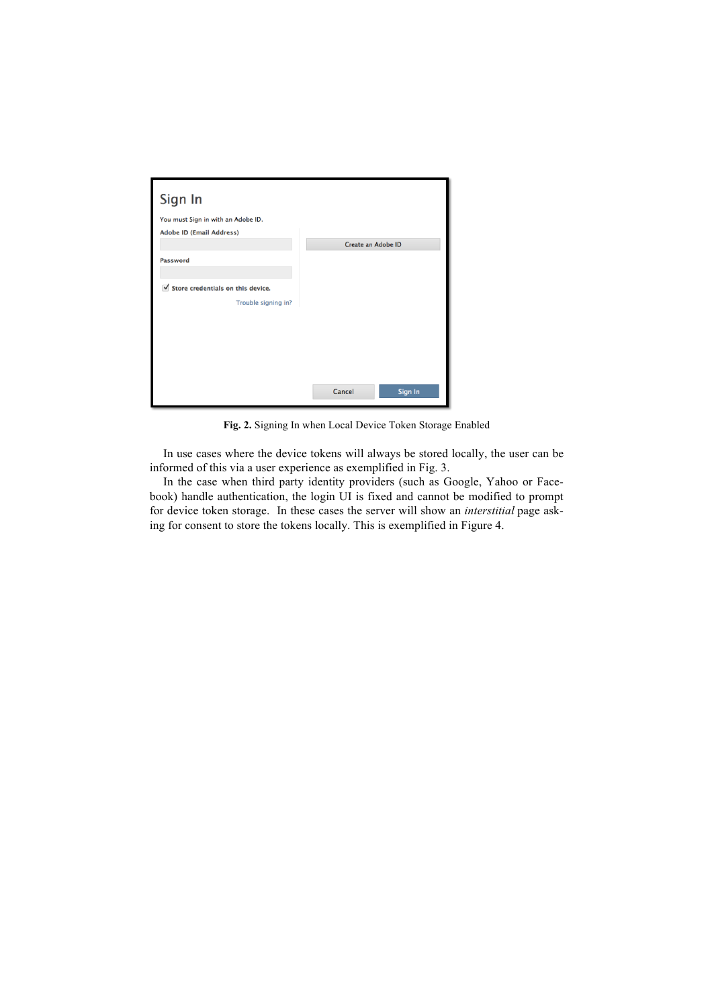

**Fig. 2.** Signing In when Local Device Token Storage Enabled

In use cases where the device tokens will always be stored locally, the user can be informed of this via a user experience as exemplified in Fig. 3.

In the case when third party identity providers (such as Google, Yahoo or Facebook) handle authentication, the login UI is fixed and cannot be modified to prompt for device token storage. In these cases the server will show an *interstitial* page asking for consent to store the tokens locally. This is exemplified in Figure 4.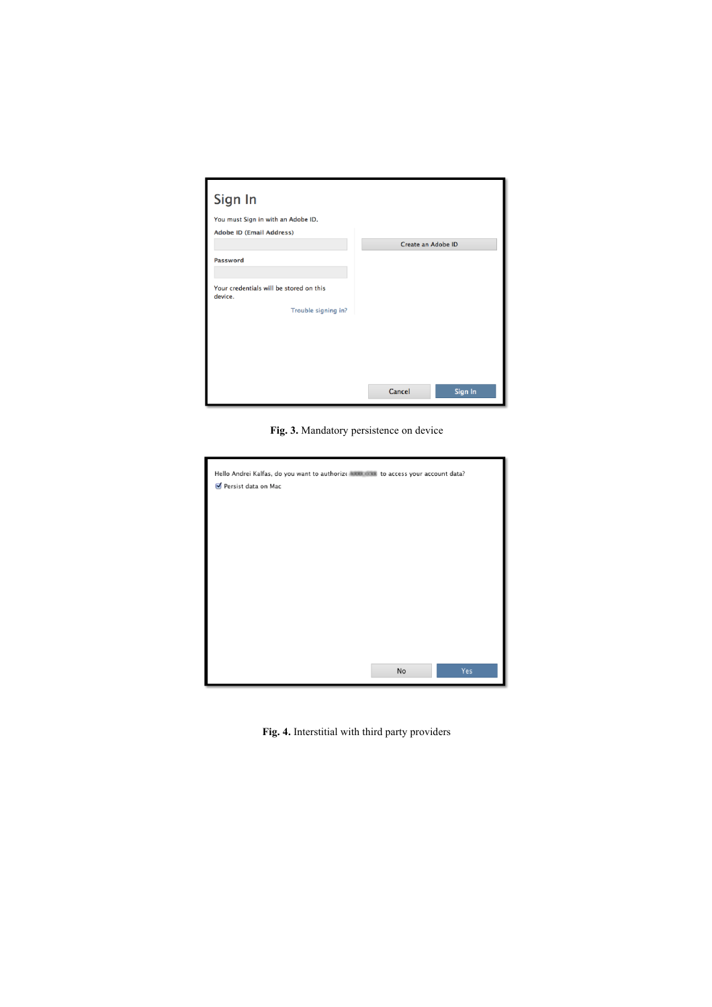| Sign In                                            |                    |
|----------------------------------------------------|--------------------|
| You must Sign in with an Adobe ID.                 |                    |
| <b>Adobe ID (Email Address)</b>                    |                    |
|                                                    | Create an Adobe ID |
| <b>Password</b>                                    |                    |
|                                                    |                    |
| Your credentials will be stored on this<br>device. |                    |
| Trouble signing in?                                |                    |
|                                                    |                    |
|                                                    |                    |
|                                                    |                    |
|                                                    |                    |
|                                                    |                    |
|                                                    | Cancel<br>Sign In  |

**Fig. 3.** Mandatory persistence on device

| Hello Andrei Kalfas, do you want to authorize KKKK COKK to access your account data?<br>Persist data on Mac |  |  |
|-------------------------------------------------------------------------------------------------------------|--|--|
|                                                                                                             |  |  |
|                                                                                                             |  |  |
|                                                                                                             |  |  |
|                                                                                                             |  |  |
| Yes<br>No                                                                                                   |  |  |

**Fig. 4.** Interstitial with third party providers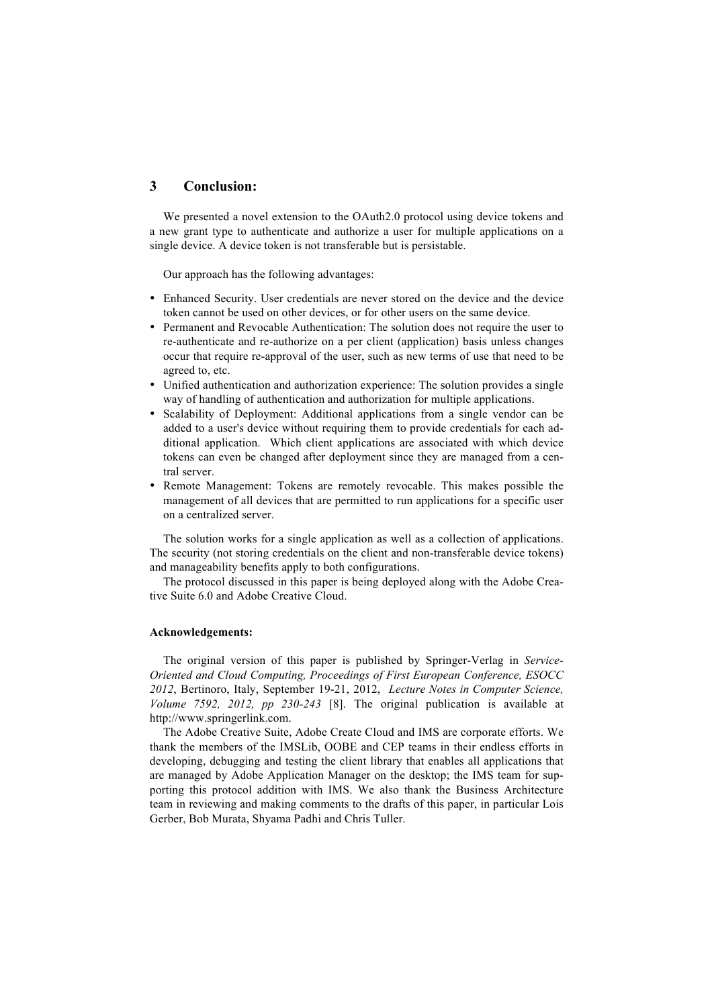# **3 Conclusion:**

We presented a novel extension to the OAuth2.0 protocol using device tokens and a new grant type to authenticate and authorize a user for multiple applications on a single device. A device token is not transferable but is persistable.

Our approach has the following advantages:

- Enhanced Security. User credentials are never stored on the device and the device token cannot be used on other devices, or for other users on the same device.
- Permanent and Revocable Authentication: The solution does not require the user to re-authenticate and re-authorize on a per client (application) basis unless changes occur that require re-approval of the user, such as new terms of use that need to be agreed to, etc.
- Unified authentication and authorization experience: The solution provides a single way of handling of authentication and authorization for multiple applications.
- Scalability of Deployment: Additional applications from a single vendor can be added to a user's device without requiring them to provide credentials for each additional application. Which client applications are associated with which device tokens can even be changed after deployment since they are managed from a central server.
- Remote Management: Tokens are remotely revocable. This makes possible the management of all devices that are permitted to run applications for a specific user on a centralized server.

The solution works for a single application as well as a collection of applications. The security (not storing credentials on the client and non-transferable device tokens) and manageability benefits apply to both configurations.

The protocol discussed in this paper is being deployed along with the Adobe Creative Suite 6.0 and Adobe Creative Cloud.

#### **Acknowledgements:**

The original version of this paper is published by Springer-Verlag in *Service-Oriented and Cloud Computing, Proceedings of First European Conference, ESOCC 2012*, Bertinoro, Italy, September 19-21, 2012, *Lecture Notes in Computer Science, Volume 7592, 2012, pp 230-243* [8]. The original publication is available at http://www.springerlink.com.

The Adobe Creative Suite, Adobe Create Cloud and IMS are corporate efforts. We thank the members of the IMSLib, OOBE and CEP teams in their endless efforts in developing, debugging and testing the client library that enables all applications that are managed by Adobe Application Manager on the desktop; the IMS team for supporting this protocol addition with IMS. We also thank the Business Architecture team in reviewing and making comments to the drafts of this paper, in particular Lois Gerber, Bob Murata, Shyama Padhi and Chris Tuller.